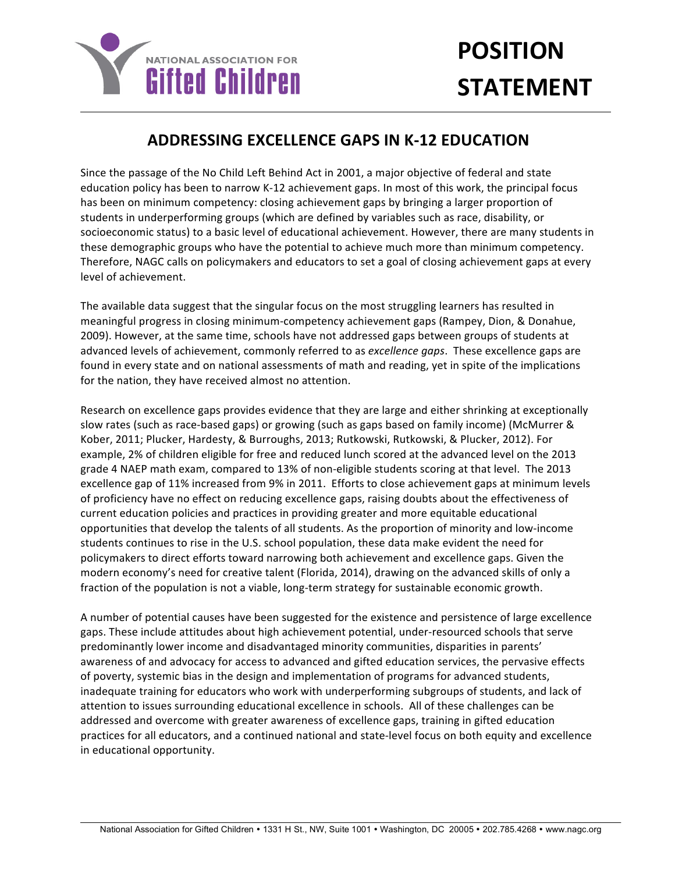

## **POSITION STATEMENT**

## **ADDRESSING EXCELLENCE GAPS IN K-12 EDUCATION**

Since the passage of the No Child Left Behind Act in 2001, a major objective of federal and state education policy has been to narrow K-12 achievement gaps. In most of this work, the principal focus has been on minimum competency: closing achievement gaps by bringing a larger proportion of students in underperforming groups (which are defined by variables such as race, disability, or socioeconomic status) to a basic level of educational achievement. However, there are many students in these demographic groups who have the potential to achieve much more than minimum competency. Therefore, NAGC calls on policymakers and educators to set a goal of closing achievement gaps at every level of achievement.

The available data suggest that the singular focus on the most struggling learners has resulted in meaningful progress in closing minimum-competency achievement gaps (Rampey, Dion, & Donahue, 2009). However, at the same time, schools have not addressed gaps between groups of students at advanced levels of achievement, commonly referred to as *excellence gaps*. These excellence gaps are found in every state and on national assessments of math and reading, yet in spite of the implications for the nation, they have received almost no attention.

Research on excellence gaps provides evidence that they are large and either shrinking at exceptionally slow rates (such as race-based gaps) or growing (such as gaps based on family income) (McMurrer & Kober, 2011; Plucker, Hardesty, & Burroughs, 2013; Rutkowski, Rutkowski, & Plucker, 2012). For example, 2% of children eligible for free and reduced lunch scored at the advanced level on the 2013 grade 4 NAEP math exam, compared to 13% of non-eligible students scoring at that level. The 2013 excellence gap of 11% increased from 9% in 2011. Efforts to close achievement gaps at minimum levels of proficiency have no effect on reducing excellence gaps, raising doubts about the effectiveness of current education policies and practices in providing greater and more equitable educational opportunities that develop the talents of all students. As the proportion of minority and low-income students continues to rise in the U.S. school population, these data make evident the need for policymakers to direct efforts toward narrowing both achievement and excellence gaps. Given the modern economy's need for creative talent (Florida, 2014), drawing on the advanced skills of only a fraction of the population is not a viable, long-term strategy for sustainable economic growth.

A number of potential causes have been suggested for the existence and persistence of large excellence gaps. These include attitudes about high achievement potential, under-resourced schools that serve predominantly lower income and disadvantaged minority communities, disparities in parents' awareness of and advocacy for access to advanced and gifted education services, the pervasive effects of poverty, systemic bias in the design and implementation of programs for advanced students, inadequate training for educators who work with underperforming subgroups of students, and lack of attention to issues surrounding educational excellence in schools. All of these challenges can be addressed and overcome with greater awareness of excellence gaps, training in gifted education practices for all educators, and a continued national and state-level focus on both equity and excellence in educational opportunity.